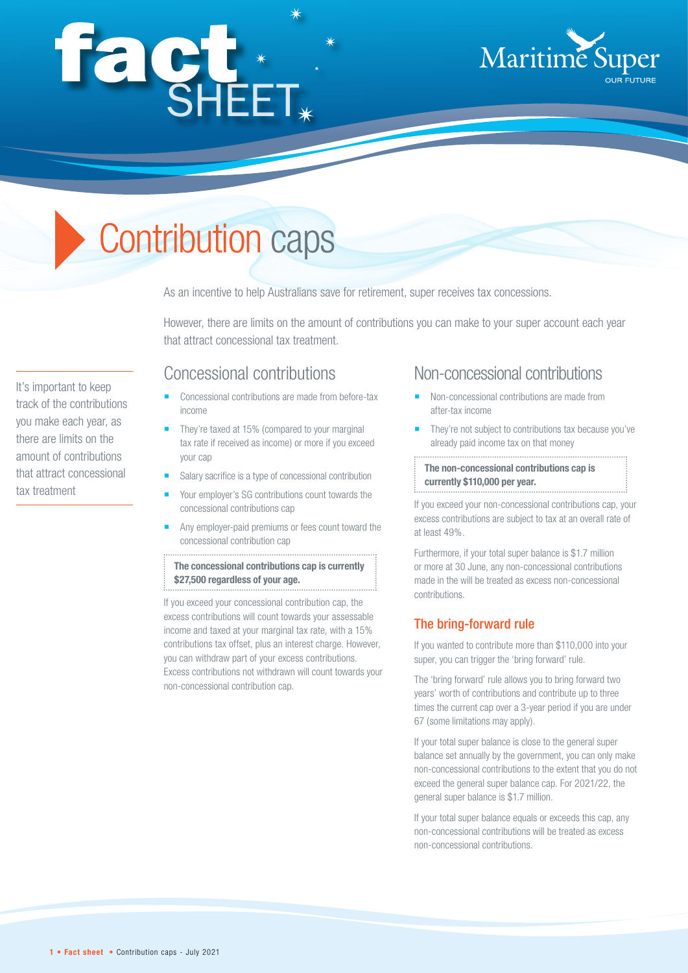# fact.



# Contribution caps

As an incentive to help Australians save for retirement, super receives tax concessions.

However, there are limits on the amount of contributions you can make to your super account each year that attract concessional tax treatment.

### Concessional contributions

- Concessional contributions are made from before-tax income
- They're taxed at 15% (compared to your marginal tax rate if received as income) or more if you exceed your cap
- Salary sacrifice is a type of concessional contribution
- Your employer's SG contributions count towards the concessional contributions cap
- Any employer-paid premiums or fees count toward the concessional contribution cap

**The concessional contributions cap is currently \$27,500 regardless of your age.**

If you exceed your concessional contribution cap, the excess contributions will count towards your assessable income and taxed at your marginal tax rate, with a 15% contributions tax offset, plus an interest charge. However, you can withdraw part of your excess contributions. Excess contributions not withdrawn will count towards your non-concessional contribution cap.

#### Non-concessional contributions

- Non-concessional contributions are made from after-tax income
- They're not subject to contributions tax because you've already paid income tax on that money

**The non-concessional contributions cap is currently \$110,000 per year.**

If you exceed your non-concessional contributions cap, your excess contributions are subject to tax at an overall rate of at least 49%.

Furthermore, if your total super balance is \$1.7 million or more at 30 June, any non-concessional contributions made in the will be treated as excess non-concessional contributions.

#### The bring-forward rule

If you wanted to contribute more than \$110,000 into your super, you can trigger the 'bring forward' rule.

The 'bring forward' rule allows you to bring forward two years' worth of contributions and contribute up to three times the current cap over a 3-year period if you are under 67 (some limitations may apply).

If your total super balance is close to the general super balance set annually by the government, you can only make non-concessional contributions to the extent that you do not exceed the general super balance cap. For 2021/22, the general super balance is \$1.7 million.

If your total super balance equals or exceeds this cap, any non-concessional contributions will be treated as excess non-concessional contributions.

It's important to keep track of the contributions you make each year, as there are limits on the amount of contributions that attract concessional tax treatment